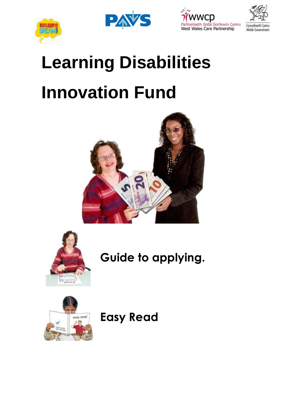





# **Learning Disabilities Innovation Fund**





**Guide to applying.**



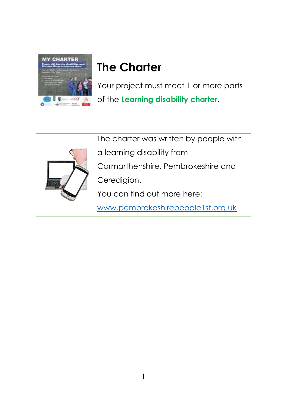

## **The Charter**

Your project must meet 1 or more parts of the **Learning disability charter**.



The charter was written by people with

- a learning disability from
- Carmarthenshire, Pembrokeshire and
- Ceredigion.
- You can find out more here:
- [www.pembrokeshirepeople1st.org.uk](http://www.pembrokeshirepeople1st.org.uk/?page_id=766)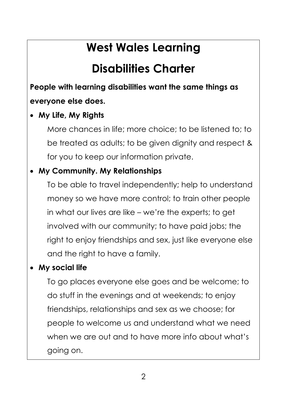## **West Wales Learning**

## **Disabilities Charter**

**People with learning disabilities want the same things as everyone else does.**

### • **My Life, My Rights**

More chances in life; more choice; to be listened to; to be treated as adults; to be given dignity and respect & for you to keep our information private.

#### • **My Community. My Relationships**

To be able to travel independently; help to understand money so we have more control; to train other people in what our lives are like – we're the experts; to get involved with our community; to have paid jobs; the right to enjoy friendships and sex, just like everyone else and the right to have a family.

### • **My social life**

To go places everyone else goes and be welcome; to do stuff in the evenings and at weekends; to enjoy friendships, relationships and sex as we choose; for people to welcome us and understand what we need when we are out and to have more info about what's going on.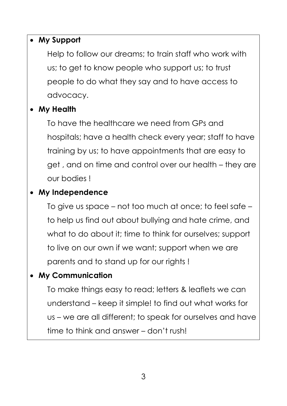#### • **My Support**

Help to follow our dreams; to train staff who work with us; to get to know people who support us; to trust people to do what they say and to have access to advocacy.

### • **My Health**

To have the healthcare we need from GPs and hospitals; have a health check every year; staff to have training by us; to have appointments that are easy to get , and on time and control over our health – they are our bodies !

### • **My Independence**

To give us space – not too much at once; to feel safe – to help us find out about bullying and hate crime, and what to do about it; time to think for ourselves; support to live on our own if we want; support when we are parents and to stand up for our rights !

### • **My Communication**

To make things easy to read; letters & leaflets we can understand – keep it simple! to find out what works for us – we are all different; to speak for ourselves and have time to think and answer – don't rush!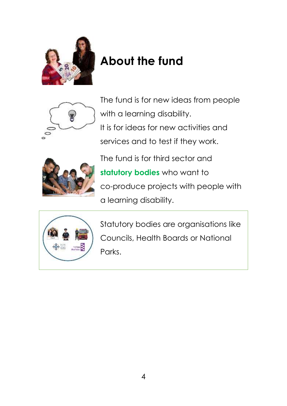

## **About the fund**



The fund is for new ideas from people with a learning disability. It is for ideas for new activities and services and to test if they work.



The fund is for third sector and **statutory bodies** who want to co-produce projects with people with a learning disability.



Statutory bodies are organisations like Councils, Health Boards or National Parks.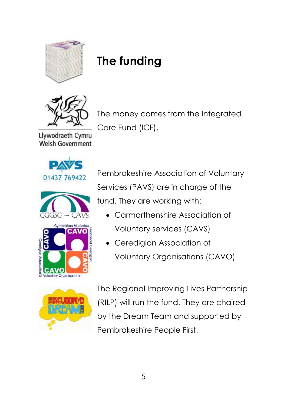

## **The funding**



The money comes from the Integrated Care Fund (ICF).

Llywodraeth Cymru **Welsh Government** 







Pembrokeshire Association of Voluntary Services (PAVS) are in charge of the fund. They are working with:

- Carmarthenshire Association of Voluntary services (CAVS)
- Ceredigion Association of Voluntary Organisations (CAVO)



The Regional Improving Lives Partnership (RILP) will run the fund. They are chaired by the Dream Team and supported by Pembrokeshire People First.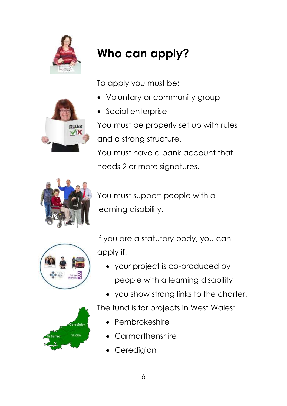

## **Who can apply?**

To apply you must be:

• Voluntary or community group



• Social enterprise

You must be properly set up with rules and a strong structure.

You must have a bank account that needs 2 or more signatures.



You must support people with a learning disability.



If you are a statutory body, you can apply if:

- your project is co-produced by people with a learning disability
- you show strong links to the charter.

The fund is for projects in West Wales:

- Pembrokeshire
- **Carmarthenshire**
- **Ceredigion**

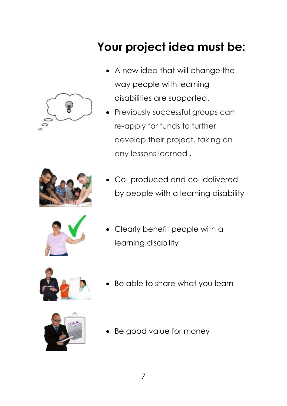

## **Your project idea must be:**

- A new idea that will change the way people with learning disabilities are supported.
- Previously successful groups can re-apply for funds to further develop their project, taking on any lessons learned .



Co- produced and co- delivered by people with a learning disability



Clearly benefit people with a learning disability



Be able to share what you learn



Be good value for money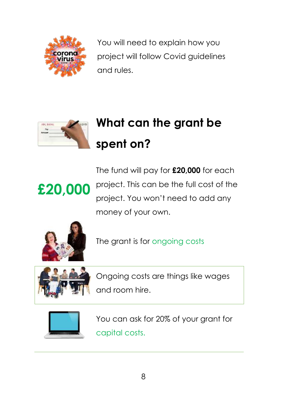

You will need to explain how you project will follow Covid guidelines and rules.



## **What can the grant be spent on?**

**£20,000** The fund will pay for **£20,000** for each project. This can be the full cost of the project. You won't need to add any money of your own.



The grant is for ongoing costs



Ongoing costs are things like wages and room hire.



You can ask for 20% of your grant for capital costs.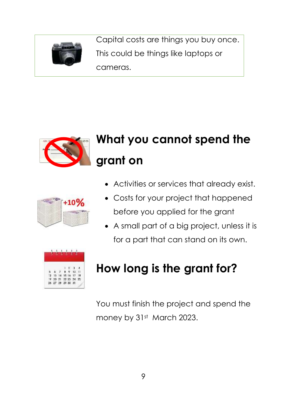

Capital costs are things you buy once. This could be things like laptops or cameras.



## **What you cannot spend the grant on**



- Activities or services that already exist.
- Costs for your project that happened before you applied for the grant
- A small part of a big project, unless it is for a part that can stand on its own.



## **How long is the grant for?**

You must finish the project and spend the money by 31st March 2023.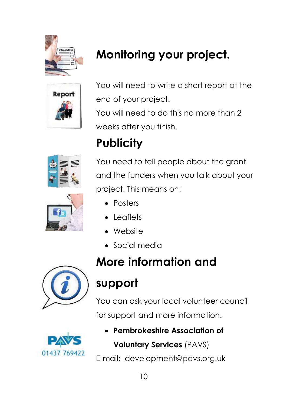

## **Monitoring your project.**



You will need to write a short report at the end of your project.

You will need to do this no more than 2 weeks after you finish.

## **Publicity**



You need to tell people about the grant and the funders when you talk about your project. This means on:

- Posters
- Leaflets
- Website
- Social media



## **More information and**

## **support**

You can ask your local volunteer council for support and more information.



• **Pembrokeshire Association of Voluntary Services** (PAVS)

E-mail: development@pavs.org.uk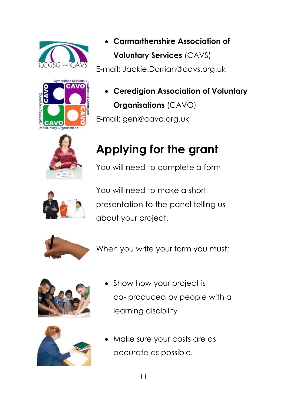



• **Carmarthenshire Association of Voluntary Services** (CAVS) E-mail: Jackie.Dorrian@cavs.org.uk

• **Ceredigion Association of Voluntary Organisations** (CAVO) E-mail: gen@cavo.org.uk



## **Applying for the grant**

You will need to complete a form



You will need to make a short presentation to the panel telling us about your project.



When you write your form you must:





- Show how your project is co- produced by people with a learning disability
- Make sure your costs are as accurate as possible.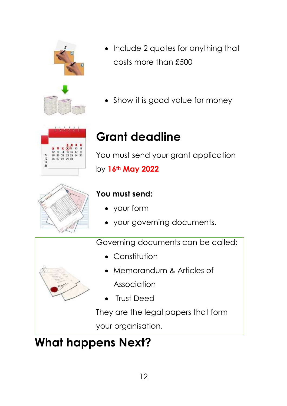

- Include 2 quotes for anything that costs more than £500
- Show it is good value for money



## **Grant deadline**

You must send your grant application by **16th May 2022**



### **You must send:**

- your form
- your governing documents.

Governing documents can be called:

- Constitution
- Memorandum & Articles of Association
- Trust Deed

They are the legal papers that form

your organisation.

## **What happens Next?**



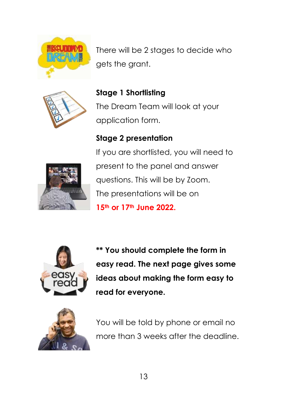

There will be 2 stages to decide who gets the grant.



**Stage 1 Shortlisting**  The Dream Team will look at your application form.

### **Stage 2 presentation**



If you are shortlisted, you will need to present to the panel and answer questions. This will be by Zoom. The presentations will be on **15th or 17th June 2022.** 



**\*\* You should complete the form in easy read. The next page gives some ideas about making the form easy to read for everyone.**



You will be told by phone or email no more than 3 weeks after the deadline.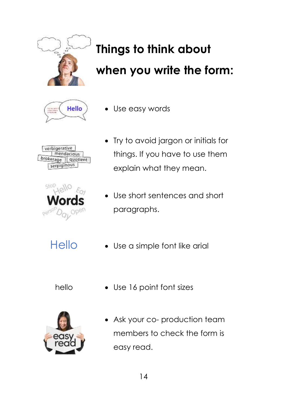

## **Things to think about when you write the form:**



Use easy words

verbigerative mendacious brokerage | quotient serpiginous



- Try to avoid jargon or initials for things. If you have to use them explain what they mean.
- Use short sentences and short paragraphs.
- 
- Hello Use a simple font like arial
	-
	- hello Use 16 point font sizes



Ask your co- production team members to check the form is easy read.